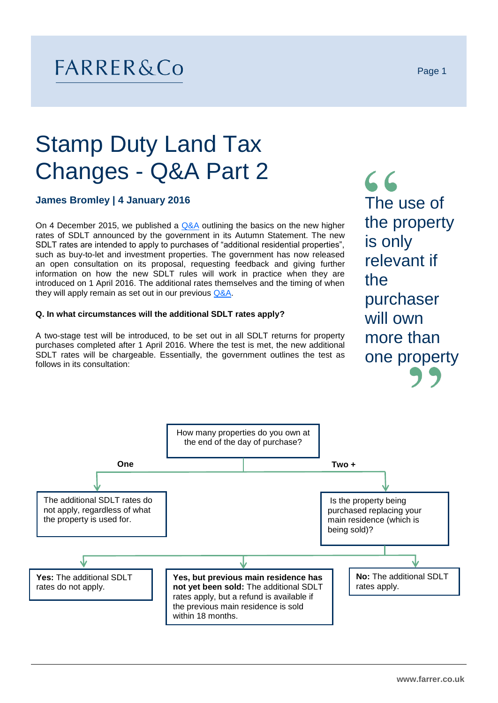## FARRER&Co

# Stamp Duty Land Tax Changes - Q&A Part 2

### **James Bromley | 4 January 2016**

On 4 December 2015, we published a  $Q&A$  outlining the basics on the new higher rates of SDLT announced by the government in its Autumn Statement. The new SDLT rates are intended to apply to purchases of "additional residential properties", such as buy-to-let and investment properties. The government has now released an open consultation on its proposal, requesting feedback and giving further information on how the new SDLT rules will work in practice when they are introduced on 1 April 2016. The additional rates themselves and the timing of when they will apply remain as set out in our previous [Q&A.](http://www.farrer.co.uk/Documents/Stamp%20Duty%20Land%20Tax%20QA%20Briefing%20December%202015.pdf)

#### **Q. In what circumstances will the additional SDLT rates apply?**

A two-stage test will be introduced, to be set out in all SDLT returns for property purchases completed after 1 April 2016. Where the test is met, the new additional SDLT rates will be chargeable. Essentially, the government outlines the test as follows in its consultation:

 $66$ The use of the property is only relevant if the purchaser will own more than one property

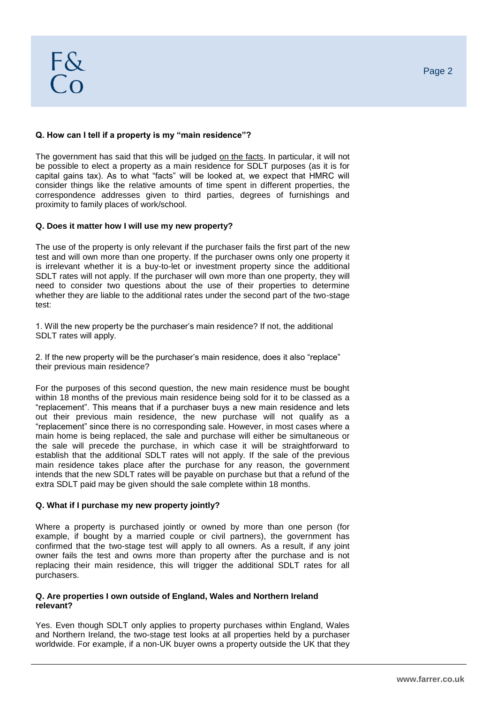The government has said that this will be judged on the facts. In particular, it will not be possible to elect a property as a main residence for SDLT purposes (as it is for capital gains tax). As to what "facts" will be looked at, we expect that HMRC will consider things like the relative amounts of time spent in different properties, the correspondence addresses given to third parties, degrees of furnishings and proximity to family places of work/school.

#### **Q. Does it matter how I will use my new property?**

The use of the property is only relevant if the purchaser fails the first part of the new test and will own more than one property. If the purchaser owns only one property it is irrelevant whether it is a buy-to-let or investment property since the additional SDLT rates will not apply. If the purchaser will own more than one property, they will need to consider two questions about the use of their properties to determine whether they are liable to the additional rates under the second part of the two-stage test:

1. Will the new property be the purchaser's main residence? If not, the additional SDLT rates will apply.

2. If the new property will be the purchaser's main residence, does it also "replace" their previous main residence?

For the purposes of this second question, the new main residence must be bought within 18 months of the previous main residence being sold for it to be classed as a "replacement". This means that if a purchaser buys a new main residence and lets out their previous main residence, the new purchase will not qualify as a "replacement" since there is no corresponding sale. However, in most cases where a main home is being replaced, the sale and purchase will either be simultaneous or the sale will precede the purchase, in which case it will be straightforward to establish that the additional SDLT rates will not apply. If the sale of the previous main residence takes place after the purchase for any reason, the government intends that the new SDLT rates will be payable on purchase but that a refund of the extra SDLT paid may be given should the sale complete within 18 months.

#### **Q. What if I purchase my new property jointly?**

Where a property is purchased jointly or owned by more than one person (for example, if bought by a married couple or civil partners), the government has confirmed that the two-stage test will apply to all owners. As a result, if any joint owner fails the test and owns more than property after the purchase and is not replacing their main residence, this will trigger the additional SDLT rates for all purchasers.

#### **Q. Are properties I own outside of England, Wales and Northern Ireland relevant?**

Yes. Even though SDLT only applies to property purchases within England, Wales and Northern Ireland, the two-stage test looks at all properties held by a purchaser worldwide. For example, if a non-UK buyer owns a property outside the UK that they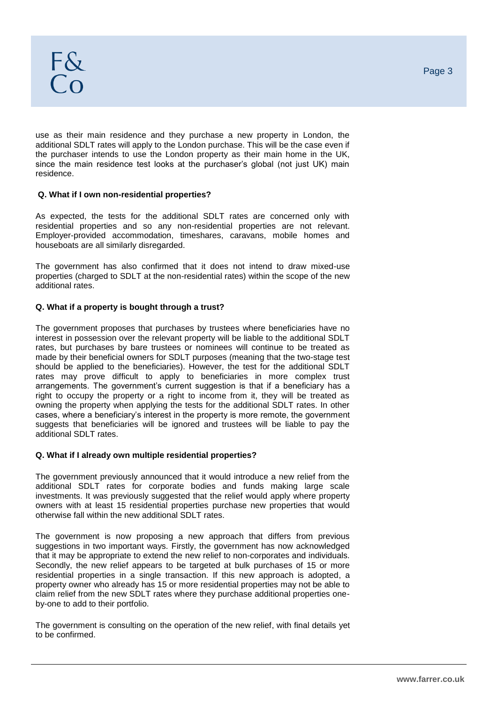use as their main residence and they purchase a new property in London, the additional SDLT rates will apply to the London purchase. This will be the case even if the purchaser intends to use the London property as their main home in the UK, since the main residence test looks at the purchaser's global (not just UK) main residence.

#### **Q. What if I own non-residential properties?**

As expected, the tests for the additional SDLT rates are concerned only with residential properties and so any non-residential properties are not relevant. Employer-provided accommodation, timeshares, caravans, mobile homes and houseboats are all similarly disregarded.

The government has also confirmed that it does not intend to draw mixed-use properties (charged to SDLT at the non-residential rates) within the scope of the new additional rates.

#### **Q. What if a property is bought through a trust?**

The government proposes that purchases by trustees where beneficiaries have no interest in possession over the relevant property will be liable to the additional SDLT rates, but purchases by bare trustees or nominees will continue to be treated as made by their beneficial owners for SDLT purposes (meaning that the two-stage test should be applied to the beneficiaries). However, the test for the additional SDLT rates may prove difficult to apply to beneficiaries in more complex trust arrangements. The government's current suggestion is that if a beneficiary has a right to occupy the property or a right to income from it, they will be treated as owning the property when applying the tests for the additional SDLT rates. In other cases, where a beneficiary's interest in the property is more remote, the government suggests that beneficiaries will be ignored and trustees will be liable to pay the additional SDLT rates.

#### **Q. What if I already own multiple residential properties?**

The government previously announced that it would introduce a new relief from the additional SDLT rates for corporate bodies and funds making large scale investments. It was previously suggested that the relief would apply where property owners with at least 15 residential properties purchase new properties that would otherwise fall within the new additional SDLT rates.

The government is now proposing a new approach that differs from previous suggestions in two important ways. Firstly, the government has now acknowledged that it may be appropriate to extend the new relief to non-corporates and individuals. Secondly, the new relief appears to be targeted at bulk purchases of 15 or more residential properties in a single transaction. If this new approach is adopted, a property owner who already has 15 or more residential properties may not be able to claim relief from the new SDLT rates where they purchase additional properties oneby-one to add to their portfolio.

The government is consulting on the operation of the new relief, with final details yet to be confirmed.